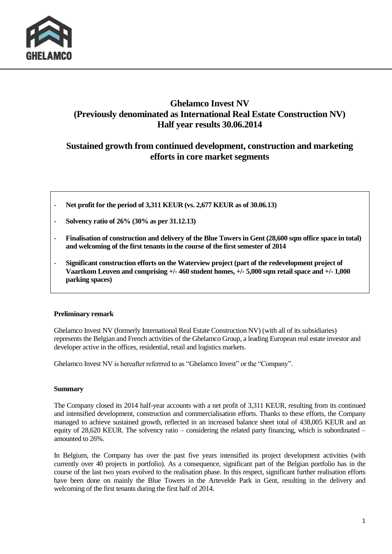

## **Ghelamco Invest NV (Previously denominated as International Real Estate Construction NV) Half year results 30.06.2014**

## **Sustained growth from continued development, construction and marketing efforts in core market segments**

- **Net profit for the period of 3,311 KEUR (vs. 2,677 KEUR as of 30.06.13)**
- **Solvency ratio of 26% (30% as per 31.12.13)**
- **Finalisation of construction and delivery of the Blue Towers in Gent (28,600 sqm office space in total) and welcoming of the first tenants in the course of the first semester of 2014**
- **Significant construction efforts on the Waterview project (part of the redevelopment project of Vaartkom Leuven and comprising +/- 460 student homes, +/- 5,000 sqm retail space and +/- 1,000 parking spaces)**

#### **Preliminary remark**

Ghelamco Invest NV (formerly International Real Estate Construction NV) (with all of its subsidiaries) represents the Belgian and French activities of the Ghelamco Group, a leading European real estate investor and developer active in the offices, residential, retail and logistics markets.

Ghelamco Invest NV is hereafter referrred to as "Ghelamco Invest" or the "Company".

#### **Summary**

The Company closed its 2014 half-year accounts with a net profit of 3,311 KEUR, resulting from its continued and intensified development, construction and commercialisation efforts. Thanks to these efforts, the Company managed to achieve sustained growth, reflected in an increased balance sheet total of 438,005 KEUR and an equity of 28,620 KEUR. The solvency ratio – considering the related party financing, which is subordinated – amounted to 26%.

In Belgium, the Company has over the past five years intensified its project development activities (with currently over 40 projects in portfolio). As a consequence, significant part of the Belgian portfolio has in the course of the last two years evolved to the realisation phase. In this respect, significant further realisation efforts have been done on mainly the Blue Towers in the Artevelde Park in Gent, resulting in the delivery and welcoming of the first tenants during the first half of 2014.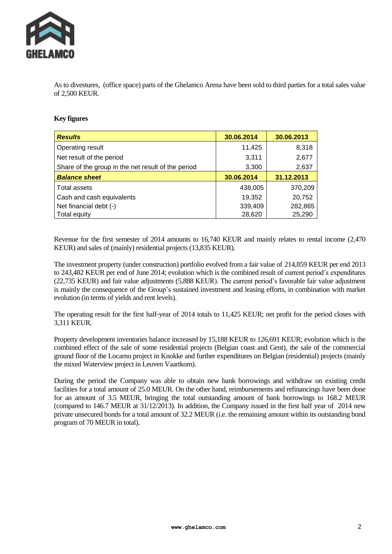

As to divestures, (office space) parts of the Ghelamco Arena have been sold to third parties for a total sales value of 2,500 KEUR.

#### **Key figures**

| <b>Results</b>                                     | 30.06.2014 | 30.06.2013 |
|----------------------------------------------------|------------|------------|
| Operating result                                   | 11,425     | 8,318      |
| Net result of the period                           | 3,311      | 2,677      |
| Share of the group in the net result of the period | 3,300      | 2,637      |
| <b>Balance sheet</b>                               | 30.06.2014 | 31.12.2013 |
| l Total assets                                     | 438,005    | 370,209    |
| Cash and cash equivalents                          | 19,352     | 20,752     |
| Net financial debt (-)                             | 339,409    | 282,865    |
| Total equity                                       | 28,620     | 25,290     |

Revenue for the first semester of 2014 amounts to 16,740 KEUR and mainly relates to rental income (2,470 KEUR) and sales of (mainly) residential projects (13,835 KEUR).

The investment property (under construction) portfolio evolved from a fair value of 214,859 KEUR per end 2013 to 243,482 KEUR per end of June 2014; evolution which is the combined result of current period's expenditures (22,735 KEUR) and fair value adjustments (5,888 KEUR). The current period's favorable fair value adjustment is mainly the consequence of the Group's sustained investment and leasing efforts, in combination with market evolution (in terms of yields and rent levels).

The operating result for the first half-year of 2014 totals to 11,425 KEUR; net profit for the period closes with 3,311 KEUR.

Property development inventories balance increased by 15,188 KEUR to 126,691 KEUR; evolution which is the combined effect of the sale of some residential projects (Belgian coast and Gent), the sale of the commercial ground floor of the Locarno project in Knokke and further expenditures on Belgian (residential) projects (mainly the mixed Waterview project in Leuven Vaartkom).

During the period the Company was able to obtain new bank borrowings and withdraw on existing credit facilities for a total amount of 25.0 MEUR. On the other hand, reimbursements and refinancings have been done for an amount of 3.5 MEUR, bringing the total outstanding amount of bank borrowings to 168.2 MEUR (compared to 146.7 MEUR at 31/12/2013). In addition, the Company issued in the first half year of 2014 new private unsecured bonds for a total amount of 32.2 MEUR (i.e. the remaining amount within its outstanding bond program of 70 MEUR in total).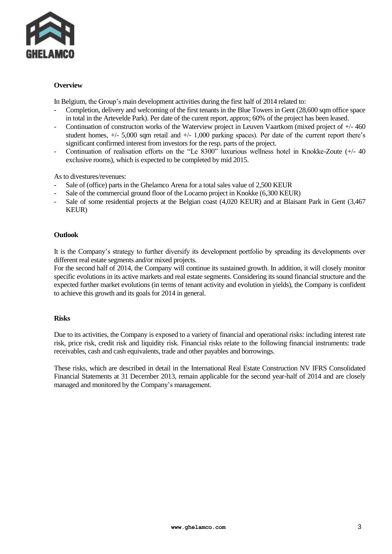

#### **Overview**

In Belgium, the Group's main development activities during the first half of 2014 related to:

- Completion, delivery and welcoming of the first tenants in the Blue Towers in Gent (28,600 sqm office space in total in the Artevelde Park). Per date of the curent report, approx; 60% of the project has been leased.
- Continuation of constructon works of the Waterview project in Leuven Vaartkom (mixed project of +/- 460 student homes,  $+/- 5,000$  sqm retail and  $+/- 1,000$  parking spaces). Per date of the current report there's significant confirmed interest from investors for the resp. parts of the project.
- Continuation of realisation efforts on the "Le 8300" luxurious wellness hotel in Knokke-Zoute (+/- 40 exclusive rooms), which is expected to be completed by mid 2015.

As to divestures/revenues:

- Sale of (office) parts in the Ghelamco Arena for a total sales value of 2,500 KEUR
- Sale of the commercial ground floor of the Locarno project in Knokke (6,300 KEUR)
- Sale of some residential projects at the Belgian coast (4,020 KEUR) and at Blaisant Park in Gent (3,467 KEUR)

#### **Outlook**

It is the Company's strategy to further diversify its development portfolio by spreading its developments over different real estate segments and/or mixed projects.

For the second half of 2014, the Company will continue its sustained growth. In addition, it will closely monitor specific evolutions in its active markets and real estate segments. Considering its sound financial structure and the expected further market evolutions (in terms of tenant activity and evolution in yields), the Company is confident to achieve this growth and its goals for 2014 in general.

#### **Risks**

Due to its activities, the Company is exposed to a variety of financial and operational risks: including interest rate risk, price risk, credit risk and liquidity risk. Financial risks relate to the following financial instruments: trade receivables, cash and cash equivalents, trade and other payables and borrowings.

These risks, which are described in detail in the International Real Estate Construction NV IFRS Consolidated Financial Statements at 31 December 2013, remain applicable for the second year-half of 2014 and are closely managed and monitored by the Company's management.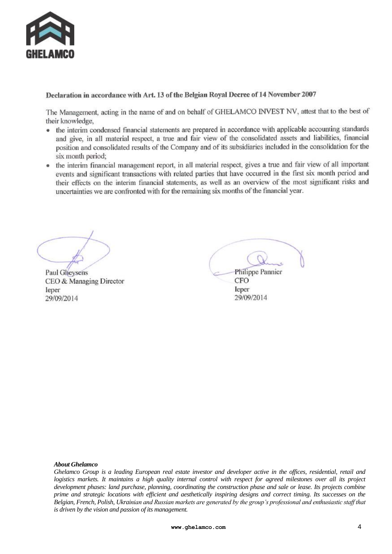

### Declaration in accordance with Art. 13 of the Belgian Royal Decree of 14 November 2007

The Management, acting in the name of and on behalf of GHELAMCO INVEST NV, attest that to the best of their knowledge,

- the interim condensed financial statements are prepared in accordance with applicable accounting standards and give, in all material respect, a true and fair view of the consolidated assets and liabilities, financial position and consolidated results of the Company and of its subsidiaries included in the consolidation for the six month period:
- the interim financial management report, in all material respect, gives a true and fair view of all important events and significant transactions with related parties that have occurred in the first six month period and their effects on the interim financial statements, as well as an overview of the most significant risks and uncertainties we are confronted with for the remaining six months of the financial year.

**Paul Gheysens** CEO & Managing Director leper 29/09/2014

**Philippe Pannier** CFO leper 29/09/2014

#### *About Ghelamco*

*Ghelamco Group is a leading European real estate investor and developer active in the offices, residential, retail and logistics markets. It maintains a high quality internal control with respect for agreed milestones over all its project development phases: land purchase, planning, coordinating the construction phase and sale or lease. Its projects combine prime and strategic locations with efficient and aesthetically inspiring designs and correct timing. Its successes on the Belgian, French, Polish, Ukrainian and Russian markets are generated by the group's professional and enthusiastic staff that is driven by the vision and passion of its management.*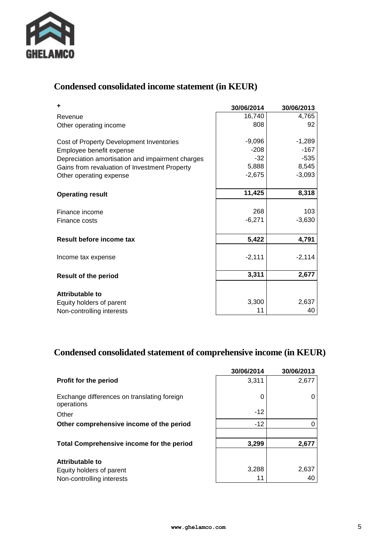

## **Condensed consolidated income statement (in KEUR)**

| ÷                                                | 30/06/2014 | 30/06/2013         |
|--------------------------------------------------|------------|--------------------|
| Revenue                                          | 16,740     | 4,765              |
| Other operating income                           | 808        | 92                 |
|                                                  | $-9,096$   |                    |
| Cost of Property Development Inventories         | $-208$     | $-1,289$<br>$-167$ |
| Employee benefit expense                         | $-32$      | $-535$             |
| Depreciation amortisation and impairment charges | 5,888      | 8,545              |
| Gains from revaluation of Investment Property    | $-2,675$   |                    |
| Other operating expense                          |            | $-3,093$           |
| <b>Operating result</b>                          | 11,425     | 8,318              |
|                                                  |            |                    |
| Finance income                                   | 268        | 103                |
| Finance costs                                    | $-6,271$   | $-3,630$           |
| Result before income tax                         | 5,422      | 4,791              |
|                                                  |            |                    |
| Income tax expense                               | $-2,111$   | $-2,114$           |
| <b>Result of the period</b>                      | 3,311      | 2,677              |
|                                                  |            |                    |
| <b>Attributable to</b>                           |            |                    |
| Equity holders of parent                         | 3,300      | 2,637              |
| Non-controlling interests                        | 11         | 40                 |

## **Condensed consolidated statement of comprehensive income (in KEUR)**

|                                                           | 30/06/2014 | 30/06/2013 |
|-----------------------------------------------------------|------------|------------|
| <b>Profit for the period</b>                              | 3,311      | 2,677      |
| Exchange differences on translating foreign<br>operations | 0          |            |
| Other                                                     | $-12$      |            |
| Other comprehensive income of the period                  | $-12$      |            |
|                                                           |            |            |
| <b>Total Comprehensive income for the period</b>          | 3,299      | 2,677      |
| Attributable to                                           |            |            |
| Equity holders of parent                                  | 3,288      | 2,637      |
| Non-controlling interests                                 | 11         | 40         |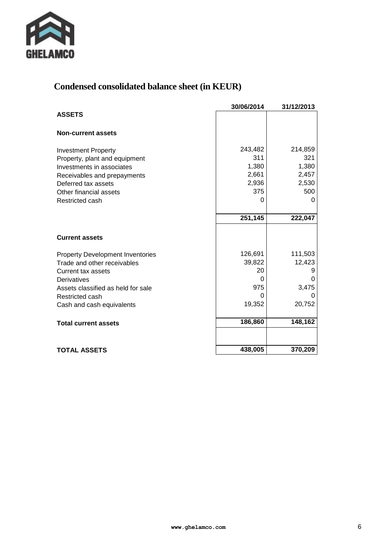

## **Condensed consolidated balance sheet (in KEUR)**

| 30/06/2014 | 31/12/2013                                                              |
|------------|-------------------------------------------------------------------------|
|            |                                                                         |
|            |                                                                         |
| 243,482    | 214,859                                                                 |
|            | 321                                                                     |
|            | 1,380                                                                   |
|            | 2,457                                                                   |
|            | 2,530                                                                   |
|            | 500<br>O                                                                |
|            |                                                                         |
| 251,145    | 222,047                                                                 |
|            |                                                                         |
|            |                                                                         |
| 126,691    | 111,503                                                                 |
| 39,822     | 12,423                                                                  |
| 20         |                                                                         |
| 0          |                                                                         |
|            | 3,475                                                                   |
|            |                                                                         |
|            | 20,752                                                                  |
| 186,860    | 148,162                                                                 |
|            |                                                                         |
| 438,005    | 370,209                                                                 |
|            | 311<br>1,380<br>2,661<br>2,936<br>375<br>0<br>975<br>$\Omega$<br>19,352 |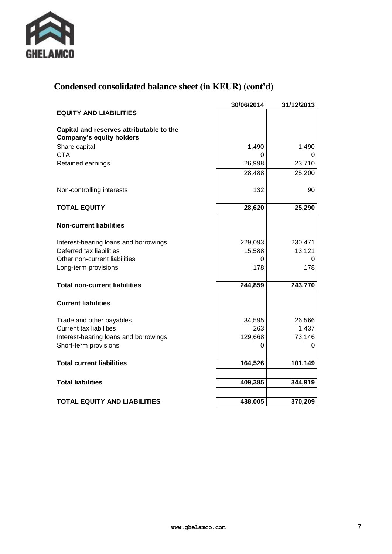

## **Condensed consolidated balance sheet (in KEUR) (cont'd)**

|                                                                             | 30/06/2014  | 31/12/2013  |
|-----------------------------------------------------------------------------|-------------|-------------|
| <b>EQUITY AND LIABILITIES</b>                                               |             |             |
| Capital and reserves attributable to the<br><b>Company's equity holders</b> |             |             |
| Share capital                                                               | 1,490       | 1,490       |
| <b>CTA</b>                                                                  | 0           | O           |
| Retained earnings                                                           | 26,998      | 23,710      |
|                                                                             | 28,488      | 25,200      |
| Non-controlling interests                                                   | 132         | 90          |
| <b>TOTAL EQUITY</b>                                                         | 28,620      | 25,290      |
| <b>Non-current liabilities</b>                                              |             |             |
|                                                                             |             |             |
| Interest-bearing loans and borrowings                                       | 229,093     | 230,471     |
| Deferred tax liabilities<br>Other non-current liabilities                   | 15,588<br>0 | 13,121<br>O |
| Long-term provisions                                                        | 178         | 178         |
|                                                                             |             |             |
| <b>Total non-current liabilities</b>                                        | 244,859     | 243,770     |
| <b>Current liabilities</b>                                                  |             |             |
| Trade and other payables                                                    | 34,595      | 26,566      |
| <b>Current tax liabilities</b>                                              | 263         | 1,437       |
| Interest-bearing loans and borrowings                                       | 129,668     | 73,146      |
| Short-term provisions                                                       | 0           | 0           |
| <b>Total current liabilities</b>                                            | 164,526     | 101,149     |
| <b>Total liabilities</b>                                                    | 409,385     | 344,919     |
|                                                                             |             |             |
| <b>TOTAL EQUITY AND LIABILITIES</b>                                         | 438,005     | 370,209     |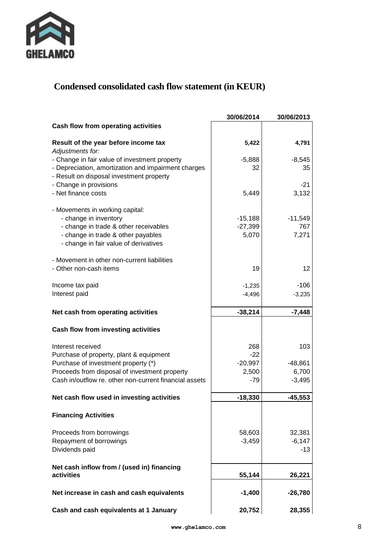

## **Condensed consolidated cash flow statement (in KEUR)**

|                                                          | 30/06/2014 | 30/06/2013 |
|----------------------------------------------------------|------------|------------|
| Cash flow from operating activities                      |            |            |
| Result of the year before income tax<br>Adjustments for: | 5,422      | 4,791      |
| - Change in fair value of investment property            | $-5,888$   | $-8,545$   |
| - Depreciation, amortization and impairment charges      | 32         | 35         |
| - Result on disposal investment property                 |            |            |
| - Change in provisions                                   |            | $-21$      |
| - Net finance costs                                      | 5,449      | 3,132      |
| - Movements in working capital:                          |            |            |
| - change in inventory                                    | $-15,188$  | $-11,549$  |
| - change in trade & other receivables                    | $-27,399$  | 767        |
| - change in trade & other payables                       | 5,070      | 7,271      |
| - change in fair value of derivatives                    |            |            |
| - Movement in other non-current liabilities              |            |            |
| - Other non-cash items                                   | 19         | 12         |
|                                                          |            |            |
| Income tax paid                                          | $-1,235$   | $-106$     |
| Interest paid                                            | $-4,496$   | $-3,235$   |
|                                                          |            |            |
| Net cash from operating activities                       | $-38,214$  | $-7,448$   |
| Cash flow from investing activities                      |            |            |
| Interest received                                        | 268        | 103        |
| Purchase of property, plant & equipment                  | $-22$      |            |
| Purchase of investment property (*)                      | $-20,997$  | $-48,861$  |
| Proceeds from disposal of investment property            | 2,500      | 6,700      |
| Cash in/outflow re. other non-current financial assets   | $-79$      | $-3,495$   |
| Net cash flow used in investing activities               | $-18,330$  | $-45,553$  |
|                                                          |            |            |
| <b>Financing Activities</b>                              |            |            |
| Proceeds from borrowings                                 | 58,603     | 32,381     |
| Repayment of borrowings                                  | $-3,459$   | $-6,147$   |
| Dividends paid                                           |            | $-13$      |
| Net cash inflow from / (used in) financing               |            |            |
| activities                                               | 55,144     | 26,221     |
| Net increase in cash and cash equivalents                | $-1,400$   | $-26,780$  |
| Cash and cash equivalents at 1 January                   | 20,752     | 28,355     |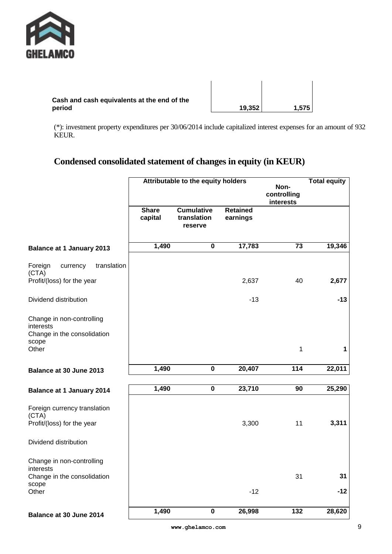

| Cash and cash equivalents at the end of the |        |       |
|---------------------------------------------|--------|-------|
| period                                      | 19.352 | 1.575 |

| 19,352 | 1,575 |  |
|--------|-------|--|

(\*): investment property expenditures per 30/06/2014 include capitalized interest expenses for an amount of 932 KEUR.

## **Condensed consolidated statement of changes in equity (in KEUR)**

|                                                                                | Attributable to the equity holders |                                             |                             | Non-<br>controlling<br>interests | <b>Total equity</b> |
|--------------------------------------------------------------------------------|------------------------------------|---------------------------------------------|-----------------------------|----------------------------------|---------------------|
|                                                                                | <b>Share</b><br>capital            | <b>Cumulative</b><br>translation<br>reserve | <b>Retained</b><br>earnings |                                  |                     |
| <b>Balance at 1 January 2013</b>                                               | 1,490                              | $\pmb{0}$                                   | 17,783                      | 73                               | 19,346              |
| translation<br>Foreign<br>currency<br>(CTA)                                    |                                    |                                             |                             |                                  |                     |
| Profit/(loss) for the year                                                     |                                    |                                             | 2,637                       | 40                               | 2,677               |
| Dividend distribution                                                          |                                    |                                             | $-13$                       |                                  | $-13$               |
| Change in non-controlling<br>interests<br>Change in the consolidation<br>scope |                                    |                                             |                             |                                  |                     |
| Other                                                                          |                                    |                                             |                             | 1                                | 1                   |
| Balance at 30 June 2013                                                        | 1,490                              | $\pmb{0}$                                   | 20,407                      | 114                              | 22,011              |
| <b>Balance at 1 January 2014</b>                                               | 1,490                              | $\pmb{0}$                                   | 23,710                      | 90                               | 25,290              |
| Foreign currency translation<br>(CTA)                                          |                                    |                                             |                             |                                  |                     |
| Profit/(loss) for the year                                                     |                                    |                                             | 3,300                       | 11                               | 3,311               |
| Dividend distribution                                                          |                                    |                                             |                             |                                  |                     |
| Change in non-controlling<br>interests                                         |                                    |                                             |                             |                                  |                     |
| Change in the consolidation<br>scope                                           |                                    |                                             |                             | 31                               | 31                  |
| Other                                                                          |                                    |                                             | $-12$                       |                                  | $-12$               |
| Balance at 30 June 2014                                                        | 1,490                              | $\pmb{0}$                                   | 26,998                      | 132                              | 28,620              |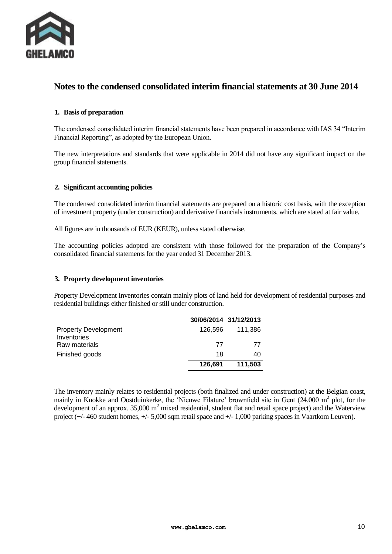

## **Notes to the condensed consolidated interim financial statements at 30 June 2014**

#### **1. Basis of preparation**

The condensed consolidated interim financial statements have been prepared in accordance with IAS 34 "Interim Financial Reporting", as adopted by the European Union.

The new interpretations and standards that were applicable in 2014 did not have any significant impact on the group financial statements.

#### **2. Significant accounting policies**

The condensed consolidated interim financial statements are prepared on a historic cost basis, with the exception of investment property (under construction) and derivative financials instruments, which are stated at fair value.

All figures are in thousands of EUR (KEUR), unless stated otherwise.

The accounting policies adopted are consistent with those followed for the preparation of the Company's consolidated financial statements for the year ended 31 December 2013.

#### **3. Property development inventories**

Property Development Inventories contain mainly plots of land held for development of residential purposes and residential buildings either finished or still under construction.

|                                            |         | 30/06/2014 31/12/2013 |
|--------------------------------------------|---------|-----------------------|
| <b>Property Development</b><br>Inventories | 126.596 | 111.386               |
| Raw materials                              | 77      | 77                    |
| Finished goods                             | 18      | 40                    |
|                                            | 126,691 | 111,503               |

The inventory mainly relates to residential projects (both finalized and under construction) at the Belgian coast, mainly in Knokke and Oostduinkerke, the 'Nieuwe Filature' brownfield site in Gent  $(24,000 \text{ m}^2 \text{ plot, for the}$ development of an approx.  $35,000 \text{ m}^2$  mixed residential, student flat and retail space project) and the Waterview project (+/- 460 student homes, +/- 5,000 sqm retail space and +/- 1,000 parking spaces in Vaartkom Leuven).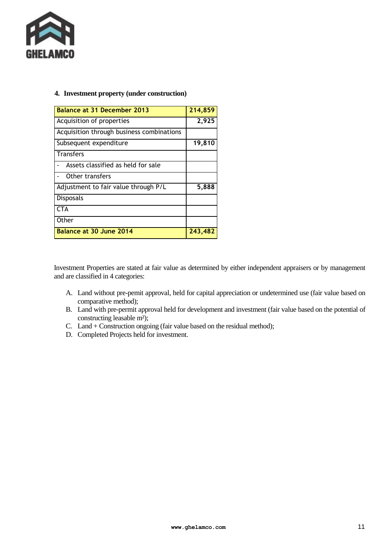

#### **4. Investment property (under construction)**

| <b>Balance at 31 December 2013</b>        | 214,859 |
|-------------------------------------------|---------|
| Acquisition of properties                 | 2,925   |
| Acquisition through business combinations |         |
| Subsequent expenditure                    | 19,810  |
| <b>Transfers</b>                          |         |
| Assets classified as held for sale        |         |
| Other transfers                           |         |
| Adjustment to fair value through P/L      | 5,888   |
| <b>Disposals</b>                          |         |
| CTA                                       |         |
| Other                                     |         |
| Balance at 30 June 2014                   | 243,482 |

Investment Properties are stated at fair value as determined by either independent appraisers or by management and are classified in 4 categories:

- A. Land without pre-pemit approval, held for capital appreciation or undetermined use (fair value based on comparative method);
- B. Land with pre-permit approval held for development and investment (fair value based on the potential of constructing leasable m<sup>2</sup>);
- C. Land + Construction ongoing (fair value based on the residual method);
- D. Completed Projects held for investment.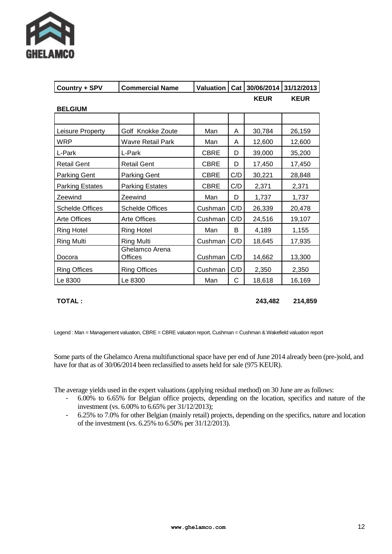

| Country + SPV          | <b>Commercial Name</b>           | <b>Valuation</b> |     | Cat 30/06/2014 | 31/12/2013  |
|------------------------|----------------------------------|------------------|-----|----------------|-------------|
|                        |                                  |                  |     | <b>KEUR</b>    | <b>KEUR</b> |
| <b>BELGIUM</b>         |                                  |                  |     |                |             |
|                        |                                  |                  |     |                |             |
| Leisure Property       | Golf Knokke Zoute                | Man              | A   | 30,784         | 26,159      |
| WRP                    | Wavre Retail Park                | Man              | A   | 12,600         | 12,600      |
| L-Park                 | L-Park                           | <b>CBRE</b>      | D   | 39,000         | 35,200      |
| <b>Retail Gent</b>     | <b>Retail Gent</b>               | <b>CBRE</b>      | D   | 17,450         | 17,450      |
| <b>Parking Gent</b>    | Parking Gent                     | <b>CBRE</b>      | C/D | 30,221         | 28,848      |
| <b>Parking Estates</b> | <b>Parking Estates</b>           | <b>CBRE</b>      | C/D | 2,371          | 2,371       |
| Zeewind                | Zeewind                          | Man              | D   | 1,737          | 1,737       |
| <b>Schelde Offices</b> | <b>Schelde Offices</b>           | Cushman          | C/D | 26,339         | 20,478      |
| Arte Offices           | <b>Arte Offices</b>              | Cushman          | C/D | 24,516         | 19,107      |
| <b>Ring Hotel</b>      | <b>Ring Hotel</b>                | Man              | B   | 4,189          | 1,155       |
| Ring Multi             | <b>Ring Multi</b>                | Cushman          | C/D | 18,645         | 17,935      |
| Docora                 | Ghelamco Arena<br><b>Offices</b> | Cushman          | C/D | 14,662         | 13,300      |
| <b>Ring Offices</b>    | <b>Ring Offices</b>              | Cushman          | C/D | 2,350          | 2,350       |
| Le 8300                | Le 8300                          | Man              | C   | 18,618         | 16,169      |

**TOTAL : 243,482 214,859**

Legend : Man = Management valuation, CBRE = CBRE valuaton report, Cushman = Cushman & Wakefield valuation report

Some parts of the Ghelamco Arena multifunctional space have per end of June 2014 already been (pre-)sold, and have for that as of 30/06/2014 been reclassified to assets held for sale (975 KEUR).

The average yields used in the expert valuations (applying residual method) on 30 June are as follows:

- 6.00% to 6.65% for Belgian office projects, depending on the location, specifics and nature of the investment (vs. 6.00% to 6.65% per 31/12/2013);
- 6.25% to 7.0% for other Belgian (mainly retail) projects, depending on the specifics, nature and location of the investment (vs. 6.25% to 6.50% per 31/12/2013).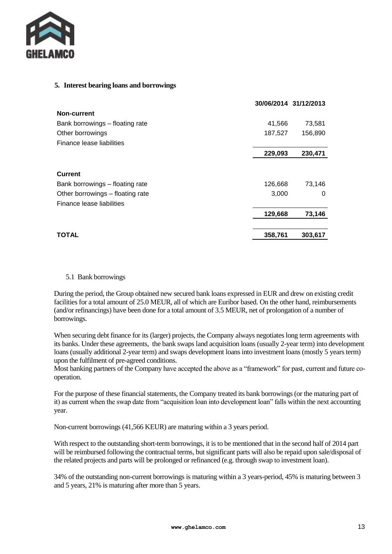

#### **5. Interest bearing loans and borrowings**

|                                  |         | 30/06/2014 31/12/2013 |
|----------------------------------|---------|-----------------------|
| Non-current                      |         |                       |
| Bank borrowings - floating rate  | 41,566  | 73,581                |
| Other borrowings                 | 187,527 | 156,890               |
| Finance lease liabilities        |         |                       |
|                                  | 229,093 | 230,471               |
| <b>Current</b>                   |         |                       |
| Bank borrowings - floating rate  | 126,668 | 73,146                |
| Other borrowings – floating rate | 3,000   | 0                     |
| Finance lease liabilities        |         |                       |
|                                  | 129,668 | 73,146                |
| <b>TOTAL</b>                     | 358,761 | 303,617               |

#### 5.1 Bank borrowings

During the period, the Group obtained new secured bank loans expressed in EUR and drew on existing credit facilities for a total amount of 25.0 MEUR, all of which are Euribor based. On the other hand, reimbursements (and/or refinancings) have been done for a total amount of 3.5 MEUR, net of prolongation of a number of borrowings.

When securing debt finance for its (larger) projects, the Company always negotiates long term agreements with its banks. Under these agreements, the bank swaps land acquisition loans (usually 2-year term) into development loans (usually additional 2-year term) and swaps development loans into investment loans (mostly 5 years term) upon the fulfilment of pre-agreed conditions.

Most banking partners of the Company have accepted the above as a "framework" for past, current and future cooperation.

For the purpose of these financial statements, the Company treated its bank borrowings (or the maturing part of it) as current when the swap date from "acquisition loan into development loan" falls within the next accounting year.

Non-current borrowings (41,566 KEUR) are maturing within a 3 years period.

With respect to the outstanding short-term borrowings, it is to be mentioned that in the second half of 2014 part will be reimbursed following the contractual terms, but significant parts will also be repaid upon sale/disposal of the related projects and parts will be prolonged or refinanced (e.g. through swap to investment loan).

34% of the outstanding non-current borrowings is maturing within a 3 years-period, 45% is maturing between 3 and 5 years, 21% is maturing after more than 5 years.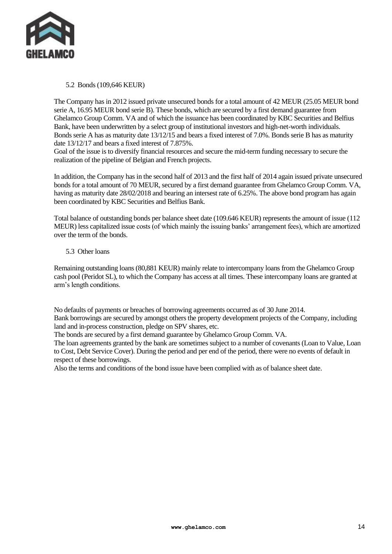

5.2 Bonds (109,646 KEUR)

The Company has in 2012 issued private unsecured bonds for a total amount of 42 MEUR (25.05 MEUR bond serie A, 16.95 MEUR bond serie B). These bonds, which are secured by a first demand guarantee from Ghelamco Group Comm. VA and of which the issuance has been coordinated by KBC Securities and Belfius Bank, have been underwritten by a select group of institutional investors and high-net-worth individuals. Bonds serie A has as maturity date 13/12/15 and bears a fixed interest of 7.0%. Bonds serie B has as maturity date 13/12/17 and bears a fixed interest of 7.875%.

Goal of the issue is to diversify financial resources and secure the mid-term funding necessary to secure the realization of the pipeline of Belgian and French projects.

In addition, the Company has in the second half of 2013 and the first half of 2014 again issued private unsecured bonds for a total amount of 70 MEUR, secured by a first demand guarantee from Ghelamco Group Comm. VA, having as maturity date 28/02/2018 and bearing an intersest rate of 6.25%. The above bond program has again been coordinated by KBC Securities and Belfius Bank.

Total balance of outstanding bonds per balance sheet date (109.646 KEUR) represents the amount of issue (112 MEUR) less capitalized issue costs (of which mainly the issuing banks' arrangement fees), which are amortized over the term of the bonds.

#### 5.3 Other loans

Remaining outstanding loans (80,881 KEUR) mainly relate to intercompany loans from the Ghelamco Group cash pool (Peridot SL), to which the Company has access at all times. These intercompany loans are granted at arm's length conditions.

No defaults of payments or breaches of borrowing agreements occurred as of 30 June 2014. Bank borrowings are secured by amongst others the property development projects of the Company, including land and in-process construction, pledge on SPV shares, etc.

The bonds are secured by a first demand guarantee by Ghelamco Group Comm. VA.

The loan agreements granted by the bank are sometimes subject to a number of covenants (Loan to Value, Loan to Cost, Debt Service Cover). During the period and per end of the period, there were no events of default in respect of these borrowings.

Also the terms and conditions of the bond issue have been complied with as of balance sheet date.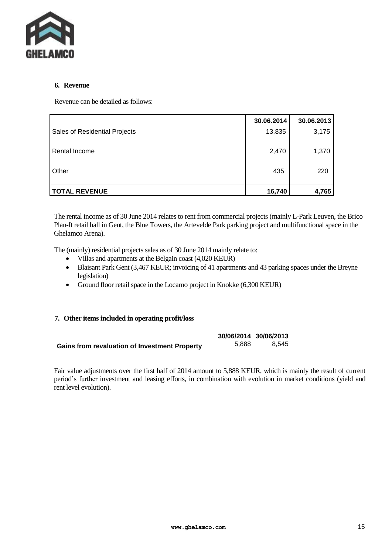

#### **6. Revenue**

Revenue can be detailed as follows:

|                               | 30.06.2014 | 30.06.2013 |
|-------------------------------|------------|------------|
| Sales of Residential Projects | 13,835     | 3,175      |
| Rental Income                 | 2,470      | 1,370      |
| Other                         | 435        | 220        |
| <b>TOTAL REVENUE</b>          | 16,740     | 4,765      |

The rental income as of 30 June 2014 relates to rent from commercial projects (mainly L-Park Leuven, the Brico Plan-It retail hall in Gent, the Blue Towers, the Artevelde Park parking project and multifunctional space in the Ghelamco Arena).

The (mainly) residential projects sales as of 30 June 2014 mainly relate to:

- Villas and apartments at the Belgain coast (4,020 KEUR)
- Blaisant Park Gent (3,467 KEUR; invoicing of 41 apartments and 43 parking spaces under the Breyne legislation)
- Ground floor retail space in the Locarno project in Knokke (6,300 KEUR)

#### **7. Other items included in operating profit/loss**

|                                                      |       | 30/06/2014 30/06/2013 |
|------------------------------------------------------|-------|-----------------------|
| <b>Gains from revaluation of Investment Property</b> | 5.888 | 8.545                 |

Fair value adjustments over the first half of 2014 amount to 5,888 KEUR, which is mainly the result of current period's further investment and leasing efforts, in combination with evolution in market conditions (yield and rent level evolution).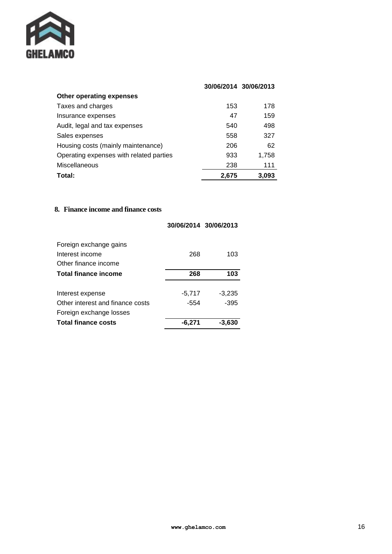

|                                         |       | 30/06/2014 30/06/2013 |
|-----------------------------------------|-------|-----------------------|
| Other operating expenses                |       |                       |
| Taxes and charges                       | 153   | 178                   |
| Insurance expenses                      | 47    | 159                   |
| Audit, legal and tax expenses           | 540   | 498                   |
| Sales expenses                          | 558   | 327                   |
| Housing costs (mainly maintenance)      | 206   | 62                    |
| Operating expenses with related parties | 933   | 1.758                 |
| Miscellaneous                           | 238   | 111                   |
| Total:                                  | 2,675 | 3,093                 |

#### **8. Finance income and finance costs**

|                                  |          | 30/06/2014 30/06/2013 |
|----------------------------------|----------|-----------------------|
| Foreign exchange gains           |          |                       |
| Interest income                  | 268      | 103                   |
| Other finance income             |          |                       |
| Total finance income             | 268      | 103                   |
|                                  |          |                       |
| Interest expense                 | $-5,717$ | $-3,235$              |
| Other interest and finance costs | -554     | $-395$                |
| Foreign exchange losses          |          |                       |
| <b>Total finance costs</b>       | -6.271   | -3.630                |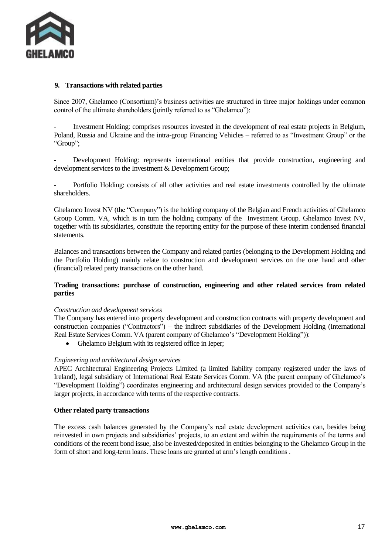

#### **9. Transactions with related parties**

Since 2007, Ghelamco (Consortium)'s business activities are structured in three major holdings under common control of the ultimate shareholders (jointly referred to as "Ghelamco"):

Investment Holding: comprises resources invested in the development of real estate projects in Belgium, Poland, Russia and Ukraine and the intra-group Financing Vehicles – referred to as "Investment Group" or the "Group";

Development Holding: represents international entities that provide construction, engineering and development services to the Investment & Development Group;

Portfolio Holding: consists of all other activities and real estate investments controlled by the ultimate shareholders.

Ghelamco Invest NV (the "Company") is the holding company of the Belgian and French activities of Ghelamco Group Comm. VA, which is in turn the holding company of the Investment Group. Ghelamco Invest NV, together with its subsidiaries, constitute the reporting entity for the purpose of these interim condensed financial statements.

Balances and transactions between the Company and related parties (belonging to the Development Holding and the Portfolio Holding) mainly relate to construction and development services on the one hand and other (financial) related party transactions on the other hand.

#### **Trading transactions: purchase of construction, engineering and other related services from related parties**

#### *Construction and development services*

The Company has entered into property development and construction contracts with property development and construction companies ("Contractors") – the indirect subsidiaries of the Development Holding (International Real Estate Services Comm. VA (parent company of Ghelamco's "Development Holding")):

Ghelamco Belgium with its registered office in Ieper;

#### *Engineering and architectural design services*

APEC Architectural Engineering Projects Limited (a limited liability company registered under the laws of Ireland), legal subsidiary of International Real Estate Services Comm. VA (the parent company of Ghelamco's "Development Holding") coordinates engineering and architectural design services provided to the Company's larger projects, in accordance with terms of the respective contracts.

#### **Other related party transactions**

The excess cash balances generated by the Company's real estate development activities can, besides being reinvested in own projects and subsidiaries' projects, to an extent and within the requirements of the terms and conditions of the recent bond issue, also be invested/deposited in entities belonging to the Ghelamco Group in the form of short and long-term loans. These loans are granted at arm's length conditions .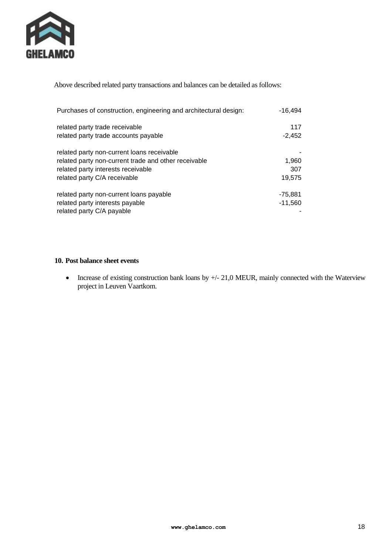

Above described related party transactions and balances can be detailed as follows:

| Purchases of construction, engineering and architectural design: | -16.494   |  |
|------------------------------------------------------------------|-----------|--|
| related party trade receivable                                   | 117       |  |
| related party trade accounts payable                             | $-2,452$  |  |
| related party non-current loans receivable                       |           |  |
| related party non-current trade and other receivable             | 1,960     |  |
| related party interests receivable                               | 307       |  |
| related party C/A receivable                                     | 19,575    |  |
| related party non-current loans payable                          | $-75,881$ |  |
| related party interests payable                                  | $-11,560$ |  |
| related party C/A payable                                        |           |  |

#### **10. Post balance sheet events**

• Increase of existing construction bank loans by  $+/- 21,0$  MEUR, mainly connected with the Waterview project in Leuven Vaartkom.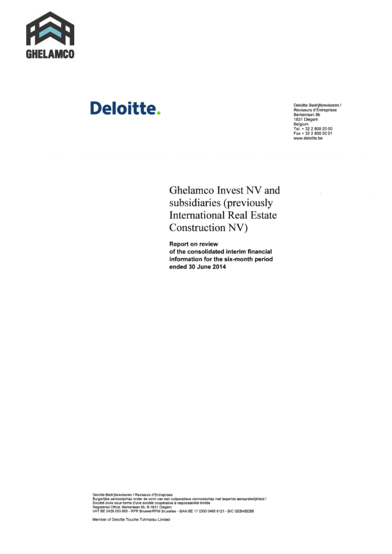

## **Deloitte.**

Deloitte Bedrijfsrevisoren /<br>Reviseurs d'Entreprises<br>Berkenlaan 8b Berkenlaan 8b<br>1831 Diegem<br>Belgium<br>Tel. + 32 2 800 20 00<br>Fax + 32 2 800 20 01 www.deloitte.be

Ghelamco Invest NV and subsidiaries (previously **International Real Estate** Construction NV)

**Report on review** of the consolidated interim financial information for the six-month period ended 30 June 2014

Deloitte Bedrijfsrevisoren / Reviseurs d'Entreprises<br>Burgerijke vermootschap onder de vorm van een coöperatieve vermootschap met beperkte aansprakelijkheid /<br>Société duite sous forme d'une société coopérative à responsabi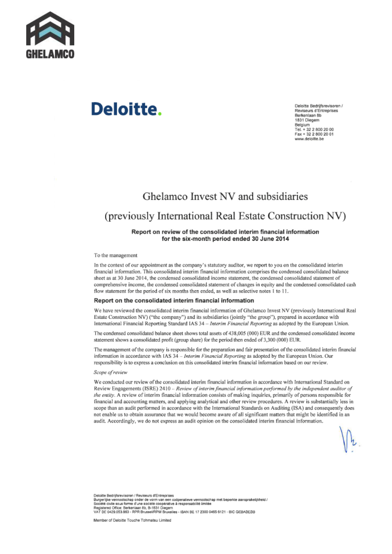

# Deloitte.

Deloitte Bedrijfsrevisoren / Reviseurs d'Entreprises Rerkenlagn 8h 1831 Diegem Belgium<br>Tel. + 32 2 800 20 00<br>Fax + 32 2 800 20 01 www.deloitte.be

## Ghelamco Invest NV and subsidiaries

## (previously International Real Estate Construction NV)

#### Report on review of the consolidated interim financial information for the six-month period ended 30 June 2014

To the management

In the context of our appointment as the company's statutory auditor, we report to you on the consolidated interim financial information. This consolidated interim financial information comprises the condensed consolidated balance sheet as at 30 June 2014, the condensed consolidated income statement, the condensed consolidated statement of comprehensive income, the condensed consolidated statement of changes in equity and the condensed consolidated cash flow statement for the period of six months then ended, as well as selective notes 1 to 11.

#### Report on the consolidated interim financial information

We have reviewed the consolidated interim financial information of Ghelamco Invest NV (previously International Real Estate Construction NV) ("the company") and its subsidiaries (jointly "the group"), prepared in accordance with International Financial Reporting Standard IAS 34 - Interim Financial Reporting as adopted by the European Union.

The condensed consolidated balance sheet shows total assets of 438,005 (000) EUR and the condensed consolidated income statement shows a consolidated profit (group share) for the period then ended of 3,300 (000) EUR.

The management of the company is responsible for the preparation and fair presentation of the consolidated interim financial information in accordance with IAS 34 - Interim Financial Reporting as adopted by the European Union. Our responsibility is to express a conclusion on this consolidated interim financial information based on our review.

#### Scope of review

We conducted our review of the consolidated interim financial information in accordance with International Standard on Review Engagements (ISRE) 2410 - Review of interim financial information performed by the independent auditor of the entity. A review of interim financial information consists of making inquiries, primarily of persons responsible for financial and accounting matters, and applying analytical and other review procedures. A review is substantially less in scope than an audit performed in accordance with the International Standards on Auditing (ISA) and consequently does not enable us to obtain assurance that we would become aware of all significant matters that might be identified in an audit. Accordingly, we do not express an audit opinion on the consolidated interim financial information.

Deloitte Bedrifsrevisoren / Reviseurs d'Entreorises Deuxine escription de la componente de vorm van een codperatieve vennootschap met beperkte aanspraksijkheid /<br>Société civile aous forme d'une société coopérative à responsabilité limitée<br>Registered Office: Berkeniaan 8b, B